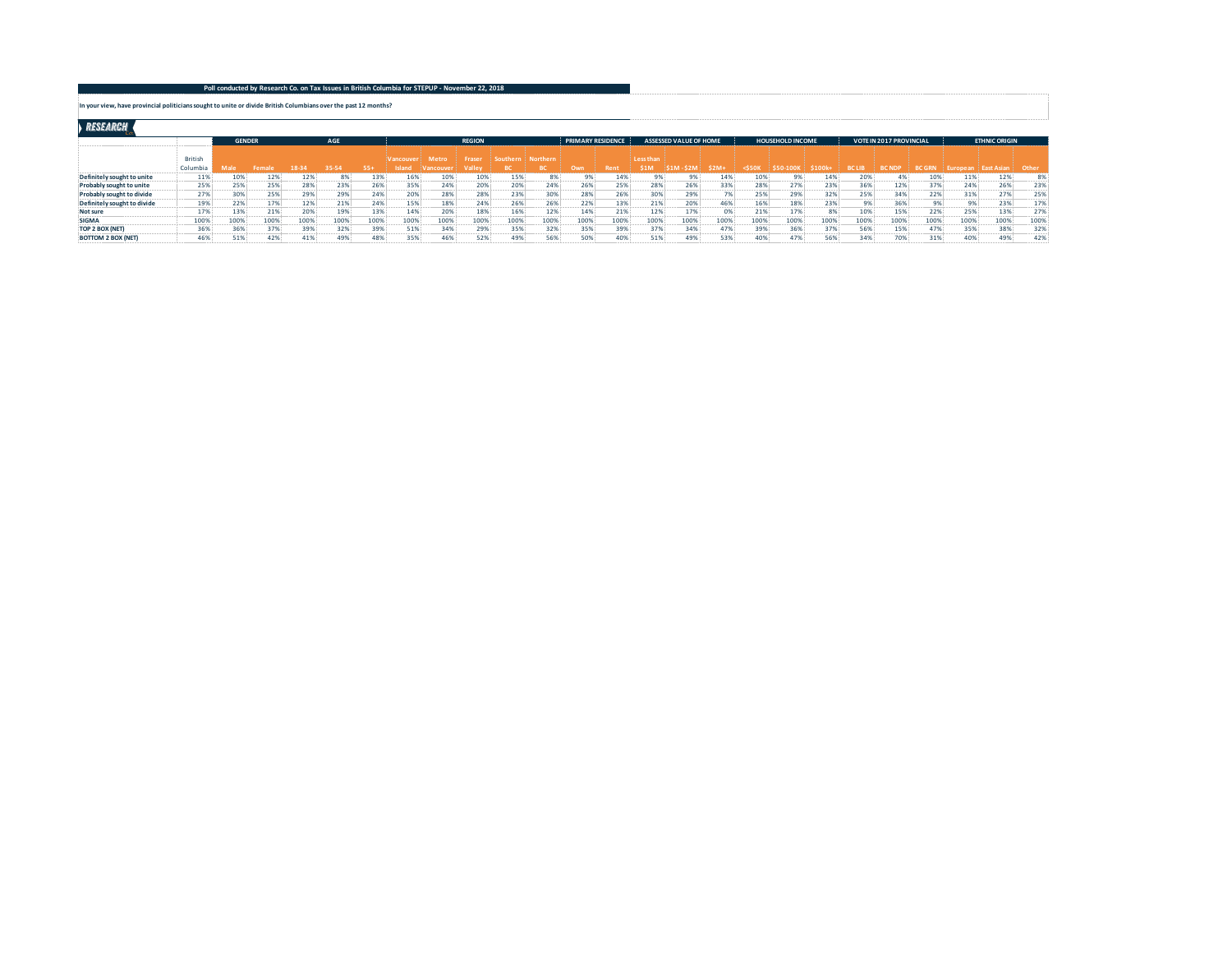**In your view, have provincial politicians sought to unite or divide British Columbians over the past 12 months?**

## RESEARCH

|                             |                     |      | AGE<br><b>GENDER</b> |      |      |       |          |                 | <b>REGION</b>   |          |          | <b>PRIMARY RESIDENCE</b> |      |                          | <b>ASSESSED VALUE OF HOME</b> |      |       | <b>HOUSEHOLD INCOME</b> |        |               | <b>VOTE IN 2017 PROVINCIAL</b> |              |                | <b>ETHNIC ORIGIN</b> |       |
|-----------------------------|---------------------|------|----------------------|------|------|-------|----------|-----------------|-----------------|----------|----------|--------------------------|------|--------------------------|-------------------------------|------|-------|-------------------------|--------|---------------|--------------------------------|--------------|----------------|----------------------|-------|
|                             | British<br>Columbia |      |                      |      |      | $55+$ | /ancouve | Metro<br>ancoun | Frase<br>Valley | Southern | Northern | Own                      |      | Less than<br><b>\$1M</b> |                               | \$2M | :S501 | CEN 1006                | \$100k | <b>BC LIB</b> | <b>BC NDF</b>                  | <b>BC GR</b> |                | inet Aei             | Other |
| Definitely sought to unite  | 11%                 | 10%  | 12%                  | 12%  | 8%   | 13%   | 16%      | 10%             | 10%             | 15%      |          | 9%                       | 14%  |                          | 9%                            | 14%  | 10%   | 9%                      | 14%    | 20%           | 4%                             | 10%          | 11%            | 12%                  | 8%    |
| Probably sought to unite    | 25%                 | 25%  | 25%                  | 28%  | 23%  | 26%   | 35%      | 24%             | 20%             | 20%      | 24%      | 26%                      | 25%  | 28%                      | 26%                           | 33%  | 28%   | 27%                     | 23%    | 36%           | 12%                            | 37%          | 24%            | 26%                  | 23%   |
| Probably sought to divide   | 27%                 | 30%  | 25%                  | 29%  | 29%  | 24%   | 20%      | 28%             | 28%             | 23%      | 30%      | 28%                      | 26%  | 30%                      | 29%                           |      | 25%   | 29%                     | 32%    | 25%           | 34%                            | 22%          | 31%            | 27%                  | 25%   |
| Definitely sought to divide | 19%                 | 22%  | 17%                  |      | 21%  | 24%   | 15%      | 18%             | 24%             | 26%      | 26%      | 22%                      | 13%  | 21%                      | 20%                           | 46%  | 16%   | 18%                     | 23%    |               | 36%                            |              | 0 <sup>o</sup> | 23%                  | 17%   |
| Not sure                    | 17%                 | 13%  | 21%                  | 20%  | 19%  | 13%   | 14%      | 20%             | 18%             | 16%      | 12%      | 14%                      | 21%  | 12%                      | 17%                           | 0% ! | 21%   | 17%                     | 8%     | 10%           | 15%                            | 22%          | 25%            | 13%                  | 27%   |
| <b>SIGMA</b>                | 100%                | 100% | 100%                 | 100% | 100% | 100%  | 100%     | 100%            | 100%            | 100%     | 1009     | 100%                     | 100% | 100%                     | 100%                          | 100% | 100%  | 100%                    | 100%   | 100%          | 100%                           | 100%         | 100%           | 100%                 | 100%  |
| TOP 2 BOX (NET)             | 36%                 | 36%  | 37%                  | 39%  | 32%  | 39%   | 51%      | 34%             | 29%             | 35%      | 32%      | 35%                      | 39%  | 37%                      | 34%                           | 47%  | 39%   | 36%                     | 37%    | 56%           | 15%                            | 47%          | 35%            | 38%                  | 32%   |
| <b>BOTTOM 2 BOX (NET)</b>   | 46%                 | 51%  | 42%                  | 41%  | 49%' | 48%   | 359      | 46%             | 52%             | 49%      | 56%      | 50%                      | 40%  | 51%                      | 49%                           | 53%  | 40%   | 47%                     | 56%    | 34%           | 70%                            | 31%          | 40%            | 49%                  | 42%   |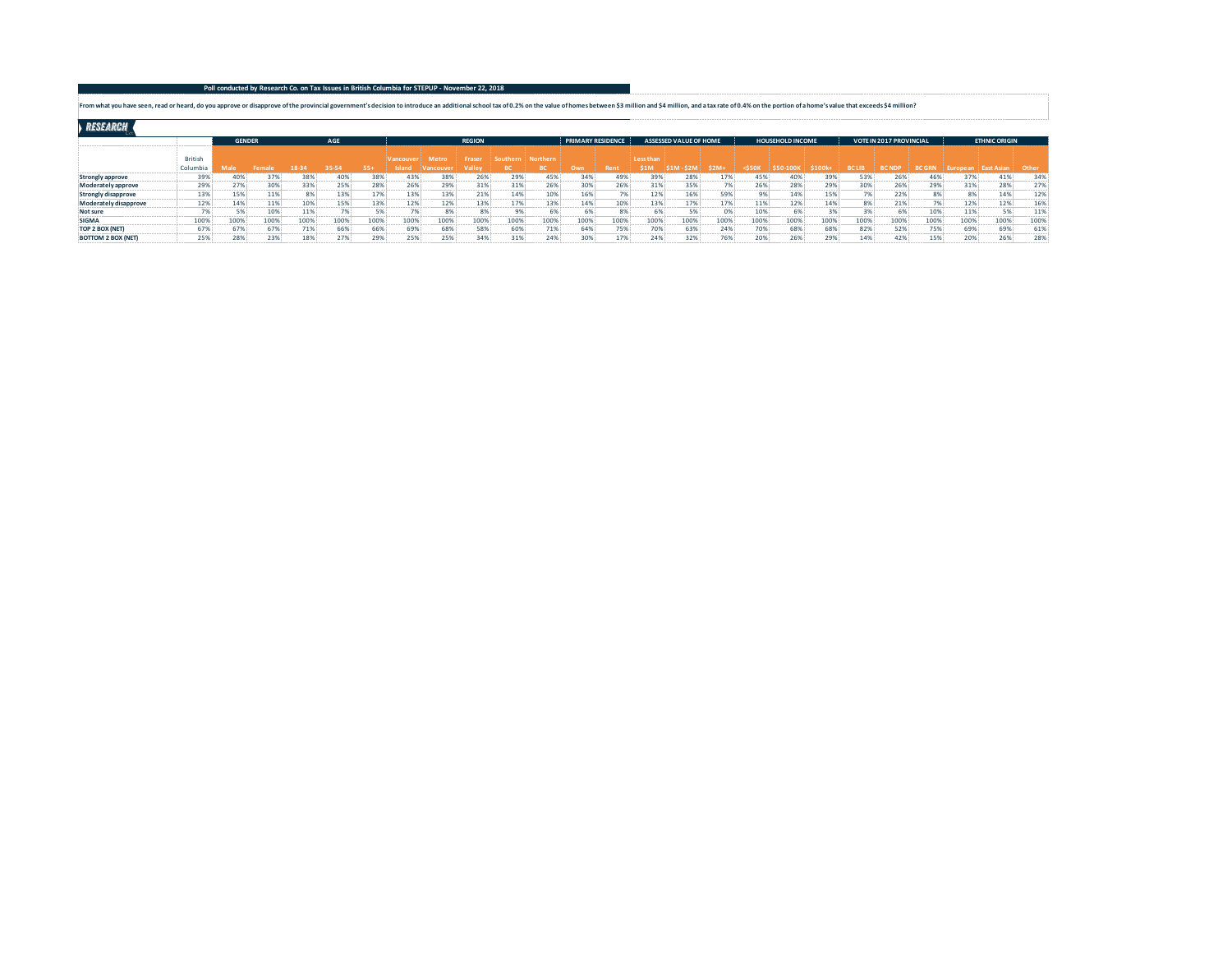## **Poll conducted by Research Co. on Tax Issues in British Columbia for STEPUP - November 22, 2018**

From what you have seen, read or heard, do you approve or disapprove of the provincial government's decision to introduce an additional school tax of 0.2% on the value of homes between \$3 million and \$4 million, and a tax

RESEARCH

|                           |                |      | AGE<br><b>GENDER</b> |      |      |       |           |                | <b>REGION</b> |          |          | <b>PRIMARY RESIDENCE</b> |      |             | <b>ASSESSED VALUE OF HOME</b> |                   |             | <b>HOUSEHOLD INCOME</b> |       |               | <b>VOTE IN 2017 PROVINCIAL</b> |               |      | <b>ETHNIC ORIGIN</b> |       |
|---------------------------|----------------|------|----------------------|------|------|-------|-----------|----------------|---------------|----------|----------|--------------------------|------|-------------|-------------------------------|-------------------|-------------|-------------------------|-------|---------------|--------------------------------|---------------|------|----------------------|-------|
|                           | <b>British</b> |      |                      |      |      |       | Vancouver | Metro          | Fraser        | Southern | Northern |                          |      | Less than   |                               |                   |             |                         |       |               |                                |               |      |                      |       |
|                           | Columbia       |      |                      |      |      | $55+$ | Island    | <b>Mancoul</b> | Valle         |          |          | Own                      | Rent | <b>\$1M</b> | <b>S2M</b>                    | \$2M <sub>1</sub> | $<$ 550 $<$ |                         | \$100 | <b>BC LIB</b> | <b>BC ND</b>                   | <b>BC GRM</b> |      | st Asia              | Other |
| Strongly approve          | 39%            | 40%  | 37%                  | 38%  | 40%  | 38%   | 43%       | 38%            | 26%           | 29%      | 45%      | 34%                      | 49%  | 39%         | 28%                           | 17%               | 45%         | 40%                     | 39%   | 53%           | 26%                            | 46%           |      | 41%                  | 34%   |
| Moderately approve        | 29%            | 27%  | 30%                  | 33%  | 25%  | 28%   | 26%       | 29%            | 31%           | 31%      | 26%      | 30%                      | 26%  | 31%         | 35%                           | 7%                | 26%         | 28%                     | 29%   | 30%           | 26%                            | 29%           | 31%  | 28%                  | 27%   |
| Strongly disapprove       | 13%            | 15%  | 11%                  |      | 13%  | 17%   | 13%       | 13%            | 21%           | 14%      | 10%      | 16%                      |      | 12%         | 16%                           | 59%               | 9%          | 14%                     | 15%   |               | 22%                            | 8%            |      | 14%                  | 12%   |
| Moderately disapprove     | 12%            | 14%  | $11\%$               | 10%  | 15%  | 13%   | 12%       | 12%            | 13%           | 17%      | 13%      | 14%                      | 10%  | 13%         | 17%                           | 17%               | 11%         | 12%                     | 14%   |               | 21%                            | 7%            | 12%  | 12%                  | 16%   |
| Not sure                  | 70             | 5%   | 10%                  | 11%  | 7%   |       |           | 8%             | 8%            | 9%       |          | 6%                       | 8%   |             | 5%                            |                   | 10%         | 6%                      | 3%    |               |                                | 10%           | 11%  | EQ                   | 11%   |
| <b>SIGMA</b>              | 100%           | 100% | 100%                 | 100% | 100% | 100%  | 100%      | 100%           | 100%          | 100%     | 100%     | 100%                     | 100% | 100%        | 100%                          | 100%              | 100%        | 100%                    | 100%  | 100%          | 100%                           | 100%          | 100% | 100%                 | 100%  |
| TOP 2 BOX (NET)           | 67%            | 67%  | 67%                  | 71%  | 66%  | 66%   | 69%       | 68%            | 58%           | 60%      | 71%      | 64%                      | 75%  | 70%         | 63%                           | 24%               | 70%         | 68%                     | 68%   | 82%           | 52%                            | 75%           | 69%  | 69%                  | 61%   |
| <b>BOTTOM 2 BOX (NET)</b> | 25%            | 28%  | 23%                  | 18%  | 27%  | 29%   | 25%       | 25%            | 34%           | 31%      | 24%      | 30%                      | 17%  | 24%         | 32%                           | 76%               | 20%         | 26%                     | 29%   |               | 42%                            | 15%           | 20%  | 26%                  | 28%   |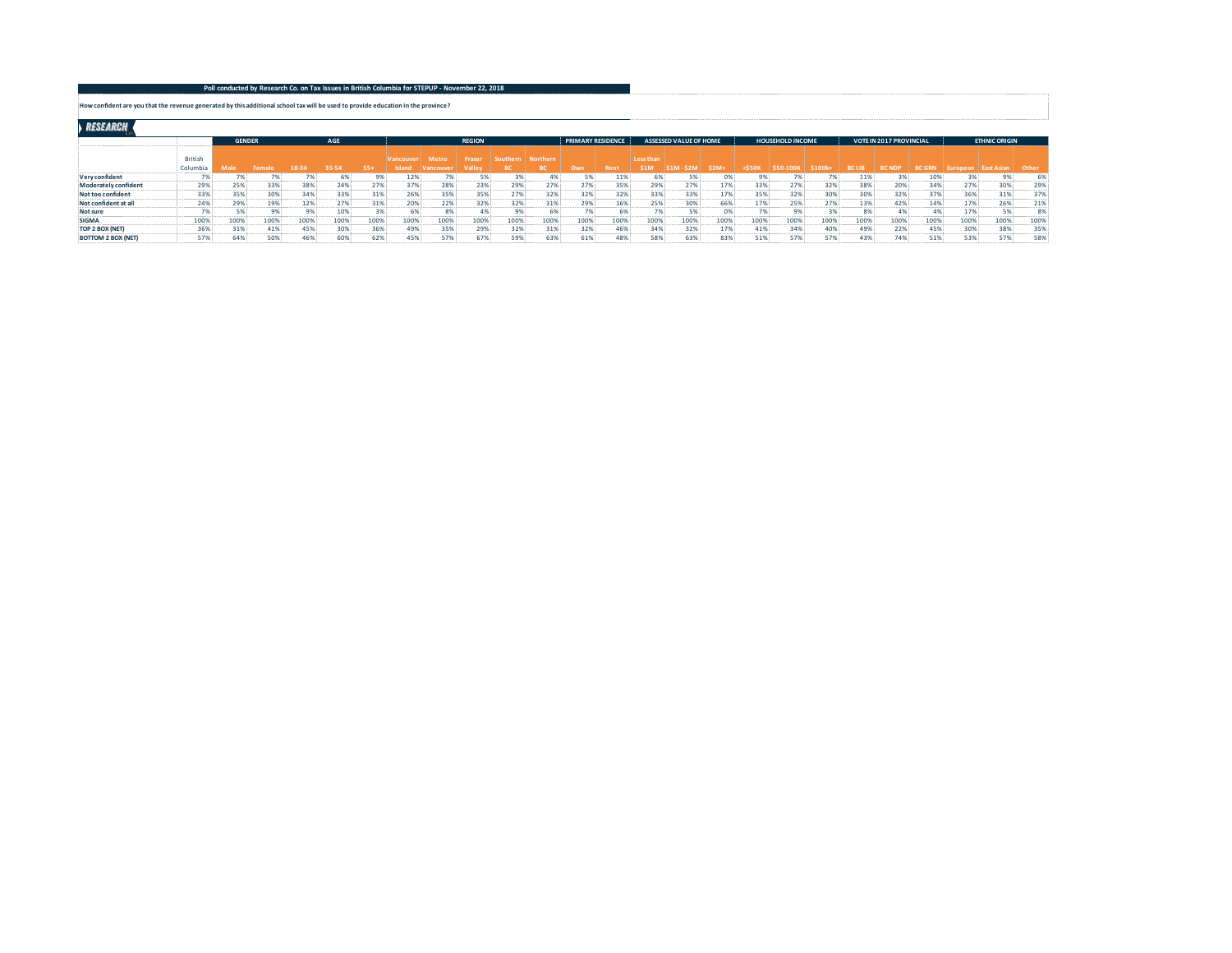## **Poll conducted by Research Co. on Tax Issues in British Columbia for STEPUP - November 22, 2018**

**How confident are you that the revenue generated by this additional school tax will be used to provide education in the province?**

RESEARCH

|                           |                            | <b>GENDER</b> |      |       | AGE   |       |                            |                         | <b>REGION</b>    |          |                 | <b>PRIMARY RESIDENCE</b> |      |                         | <b>ASSESSED VALUE OF HOME</b> |        |          | <b>HOUSEHOLD INCOME</b> |       |               | <b>VOTE IN 2017 PROVINCIAL</b> |               |         | <b>ETHNIC ORIGIN</b> |       |
|---------------------------|----------------------------|---------------|------|-------|-------|-------|----------------------------|-------------------------|------------------|----------|-----------------|--------------------------|------|-------------------------|-------------------------------|--------|----------|-------------------------|-------|---------------|--------------------------------|---------------|---------|----------------------|-------|
|                           | <b>British</b><br>Columbia |               |      | 18-34 | 35-54 | $55+$ | <b>Vancouver</b><br>Island | Metro<br><b>Yancouv</b> | Fraser<br>Valley | Southern | <b>Northern</b> | Own                      | Rent | Less than<br><b>S1M</b> | <b>\$1M-\$2M</b>              | $$2M+$ | $<$ 550K | <b>\$50-100K</b>        | \$100 | <b>BC LIB</b> | <b>BC NDP</b>                  | <b>BC GRN</b> | uropean | ! East Asia          | Other |
| Very confident            |                            |               |      |       | 6%    |       | 12%                        |                         |                  | 3%       |                 |                          | 11%  |                         | 5%                            |        |          |                         |       | 11%           |                                | 10%           |         |                      | 6%    |
| Moderately confident      | 29%                        | 25%           | 33%  | 38%   | 24%   | 27%   | 37%                        | 28%                     | 23%              | 29%      | 27%             | 27%                      | 35%  | 29%                     | 27%                           | 17%    | 33%      | 27%                     | 32%   | 38%           | 20%                            | 34%           | 27%     | 30%                  | 29%   |
| Not too confident         | 33%                        | 35%           | 30%  | 34%   | 33%   | 31%   | 26%                        | 35%                     | 35%              | 27%      | 32%             | 32%                      | 32%  | 33%                     | 33%                           | 17%    | 35%      | 32%                     | 30%   | 30%           | 32%                            | 37%           | 36%     | 31%                  | 37%   |
| Not confident at all      | 24%                        | 29%           | 19%  | 12%   | 27%   | 31%   | 20%                        | 22%                     | 32%              | 32%      | 31%             | 29%                      | 16%  | 25%                     | 30%                           | 66%    | 17%      | 25%                     | 27%   | 13%           | 42%                            | 14%           | 17%     | 26%                  | 21%   |
| Not sure                  |                            | 5%            | 9%   |       | 10%   |       |                            | 8%                      |                  | 9%       |                 |                          | 6%   |                         | 5%                            |        |          | 9% !                    | 20/   |               | 4%                             |               | 17%     | 5%                   | 8%    |
| <b>SIGMA</b>              | 100%                       | 100%          | 100% | 100%  | 100%  | 100%  | 100%                       | 100%                    | 100%             | 100%     | 100%            | 100%                     | 100% | 100%                    | 100%                          | 100%   | 100%     | 100%                    | 100%  | 100%          | 100%                           | 100%          | 100%    | 100%                 | 100%  |
| TOP 2 BOX (NET)           | 36%                        | 31%           | 41%  | 45%   | 30%   | 36%   | 49%                        | 35%                     | 29%              | 32%      | 31%             | 32%                      | 46%  | 34%                     | 32%                           | 17%    | 41%      | 34%                     | 40%   | 49%           | 22%                            | 45%           | 30%     | 38%                  | 35%   |
| <b>BOTTOM 2 BOX (NET)</b> | 57%                        | 64%           | 50%  | 46%   | 60%   |       | 45%                        | 57%                     | 67%              | 59%      | 63%             | 61%                      | 48%  | 58%                     | 63%                           | 83%    | 51%      | 57%                     | 57%   | 43%           | 74%                            | 51%           | 53%     | 57%                  | 58%   |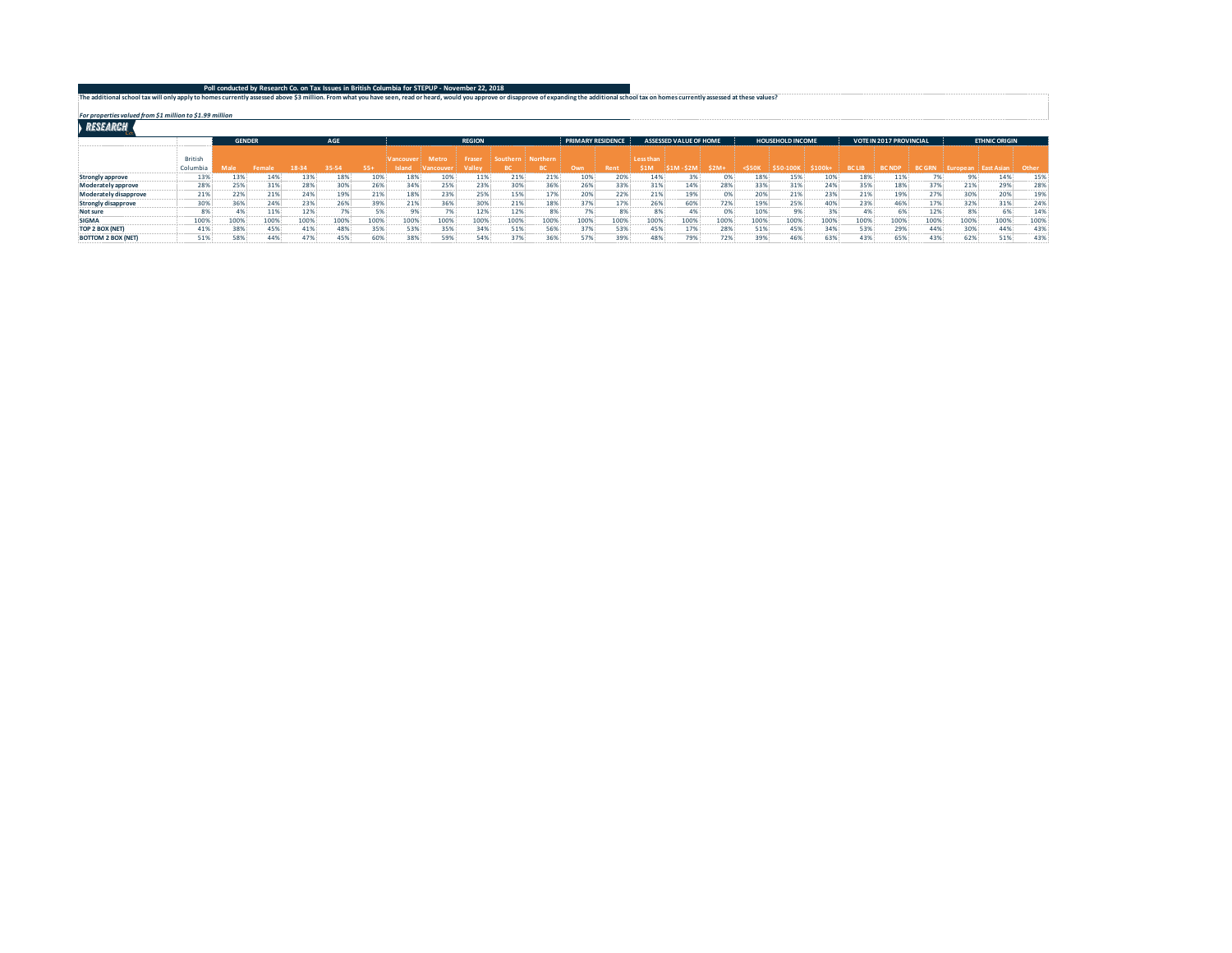| Poll conducted by Research Co. on Tax Issues in British Columbia for STEPUP - November 22, 2018                                                                                                                                 |  |
|---------------------------------------------------------------------------------------------------------------------------------------------------------------------------------------------------------------------------------|--|
|                                                                                                                                                                                                                                 |  |
| The additional school tax will only apply to homes currently assessed above \$3 million. From what you have seen, read or heard, would you approve or disapprove of expanding the additional school tax on homes currently asse |  |

*For properties valued from \$1 million to \$1.99 million*

|                           |          | <b>GENDER</b> |      |      | AGE   |       |           |        | <b>REGION</b> |          |                 | <b>PRIMARY RESIDENCE</b> |             |           | ASSESSED VALUE OF HOME |       |        | <b>HOUSEHOLD INCOME</b> |        |               | <b>VOTE IN 2017 PROVINCIAL</b> |               |                      | <b>ETHNIC ORIGIN</b> |       |
|---------------------------|----------|---------------|------|------|-------|-------|-----------|--------|---------------|----------|-----------------|--------------------------|-------------|-----------|------------------------|-------|--------|-------------------------|--------|---------------|--------------------------------|---------------|----------------------|----------------------|-------|
|                           | British  |               |      |      |       |       | Vancouver | Metro  | Fraser        | Southern | <b>Northern</b> |                          |             | Less than |                        |       |        |                         |        |               |                                |               |                      |                      |       |
|                           | Columbia |               |      |      | 35-54 | $55+$ | Island    | ancouv |               |          |                 | Own                      | <b>Rent</b> | \$1M      |                        | \$2M+ | <\$50K | 50-1001                 | \$100k | <b>BC LIB</b> | <b>BC NDP</b>                  | <b>BC GRN</b> | uropean ! East Asian |                      | Other |
| Strongly approve          | 13%      | 13%           | 14%  | 13%  | 18%   | 10%   | 18%       | 10%    | 11%           | 21%      | 21%             | 10%                      | 20%         | 14%       |                        |       | 18%    | 15%                     | 10%    | 18%           | 11%                            |               |                      | 14%                  | 15%   |
| Moderately approve        | 28%      | 25%           | 31%  | 28%  | 30%   | 26%   | 34%       | 25%    | 23%           | 30%      | 36%             | 26%                      | 33%         | 31%       | 14%                    | 28%   | 33%    | 31%                     | 24%    | 35%           | 18%                            | 37%           | 21%                  | 29%                  | 28%   |
| Moderately disapprove     | 21%      | 22%           | 21%  | 24%  | 19%   | 21%   | 18%       | 23%    | 25%           | 15%      | 17%             | 20%                      | 22%         | 21%       | 19%                    | 0%    | 20%    | 21%                     | 23%    | 21%           | 19%                            | 27%           | 30%                  | 20%                  | 19%   |
| Strongly disapprove       | 30%      | 36%           | 24%  | 23%  | 26%   | 39%   | 21%       | 36%    | 30%           | 21%      | 18%             | 37%                      | 17%         | 26%       | 60%                    | 72%   | 19%    | 25%                     | 40%    | 23%           | 46%                            | 17%           | 32%                  | 31%                  | 24%   |
| Not sure                  |          |               | 11%  | 12%  | 7%    |       |           | 7%     | 12%           | 12%      | 8%              |                          | 8%          | 8%        |                        | 0%    | 10%    | 9%                      | 3%     |               | 6%                             | 12%           | 8%                   | 6%                   | 14%   |
| <b>SIGMA</b>              | 100%     | 100%          | 1009 | 100% | 100%  | 100%  | 100%      | 100%   | 100%          | 100%     | 100%            | 100%                     | 100%        | 100%      | 100%                   | 100%  | 100%   | 100%                    | 100%   | 100%          | 100%                           | 100%          | 100%                 | 100%                 | 100%  |
| TOP 2 BOX (NET)           | 41%      | 38%           | 45%  | 41%  | 48%   | 35%   | 53%       | 35%    | 34%           | 51%      | 56%             | 37%                      | 53%         | 45%       | 17%                    | 28%   | 51%    | 45%                     | 34%    | 53%           | 29%                            | 44%           | 30%                  | 44%                  | 43%   |
| <b>BOTTOM 2 BOX (NET)</b> | 51%      | 58%           | 44%  | 47%  | 45%   |       | 38%       | 59%    | 54%           | 379      | 36%             | 57%                      | 39%         | 48%       | 79%                    | 72%   | 39%    | 46%                     | 63%    | 43%           | 65%                            | 43%           | 62%                  | 51%                  | 43%   |
|                           |          |               |      |      |       |       |           |        |               |          |                 |                          |             |           |                        |       |        |                         |        |               |                                |               |                      |                      |       |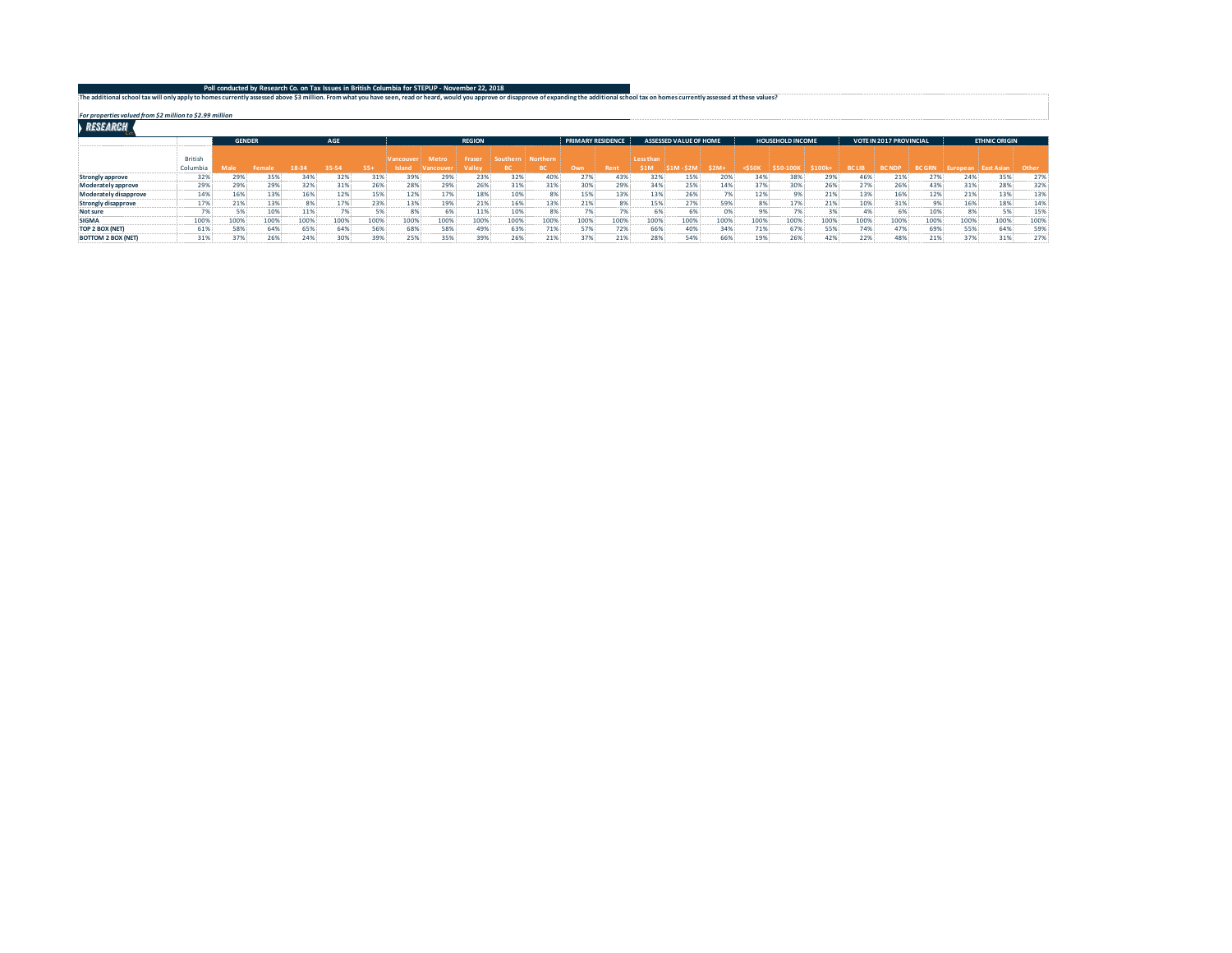| Poll conducted by Research Co. on Tax Issues in British Columbia for STEPUP - November 22, 2018                                                                                                                                 |  |
|---------------------------------------------------------------------------------------------------------------------------------------------------------------------------------------------------------------------------------|--|
|                                                                                                                                                                                                                                 |  |
| The additional school tax will only apply to homes currently assessed above \$3 million. From what you have seen, read or heard, would you approve or disapprove of expanding the additional school tax on homes currently asse |  |

*For properties valued from \$2 million to \$2.99 million*

|                           |          | <b>GENDER</b> |      |      | AGE   |       |             |        | <b>REGION</b> |          |                 | <b>PRIMARY RESIDENCE</b> |             |           | ASSESSED VALUE OF HOME |            |        | <b>HOUSEHOLD INCOME</b> |              |               | <b>VOTE IN 2017 PROVINCIAL</b> |               |      | <b>ETHNIC ORIGIN</b> |       |
|---------------------------|----------|---------------|------|------|-------|-------|-------------|--------|---------------|----------|-----------------|--------------------------|-------------|-----------|------------------------|------------|--------|-------------------------|--------------|---------------|--------------------------------|---------------|------|----------------------|-------|
|                           | British  |               |      |      |       |       | Vancouver   | Metro  | Fraser        | Southern | <b>Northern</b> |                          |             | Less than |                        |            |        |                         |              |               |                                |               |      |                      |       |
|                           | Columbia | Male          |      |      | 35-54 | $55+$ |             | mening |               |          |                 | Own                      | <b>Rent</b> | \$1M      |                        | \$2M+      | <\$50} | 50-100                  | <b>S100k</b> | <b>BC LIB</b> | <b>BC NDP</b>                  | <b>BC GRN</b> |      | <b>East Asian</b>    | Other |
| Strongly approve          | 32%      | 29%           | 35%  | 34%  | 32%   | 31%   | 399         | 29%    | 23%           | 32%      | 40%             | 27%                      | 43%         | 32%       | 15%                    | <b>20%</b> | 34%    | 38%                     | 29%          | 46%           | 21%                            | 27%           | 24%  | 35%                  | 27%   |
| Moderately approve        | 29%      | 29%           | 29%  | 32%  | 31%   | 26%   | 28%         | 29%    | 26%           | 31%      | 31%             | 30%                      | 29%         | 34%       | 25%                    | 14%        | 37%    | 30%                     | 26%          | 27%           | 26%                            | 43%           | 31%  | 28%                  | 32%   |
| Moderately disapprove     | 14%      | 16%           | 13%  | 16%  | 12%   | 15%   | 12%         | 17%    | 18%           | 10%      | 8%              | 15%                      | 13%         | 13%       | 26%                    | 7%         | 12%    | 9%                      | 21%          | 13%           | 16%                            | 12%           | 21%  | 13%                  | 13%   |
| Strongly disapprove       | 17%      | 21%           |      |      | 17%   | 23%   | 13%         | 19%    | 21%           | 16%      | 13%             | 21%                      | 8%          | 15%       | 27%                    | 59%        | 8%     | 17%                     | 21%          | 10%           | 31%                            | 9%            | 16%  | 18%                  | 14%   |
| Not sure                  | 79       |               | 10%  | 11%  | 7%    |       | $^{\alpha}$ | 6%     | 11%           | 10%      | 8%              |                          |             | 6%        |                        | 0%         | 9%     | 7%                      | 3%           |               | 6%                             | 10%           | 8%   | 5%                   | 15%   |
| <b>SIGMA</b>              | 100%     | 100%          | 1009 | 100% | 100%  | 100%  | 100%        | 100%   | 100%          | 100%     | 100%            | 100%                     | 100%        | 100%      | 100%                   | 100%       | 100%   | 100%                    | 100%         | 100%          | 100%                           | 100%          | 100% | 100%                 | 100%  |
| TOP 2 BOX (NET)           | 61%      | 58%           | 64%  | 65%  | 64%   | 56%   | 68%         | 58%    | 49%           | 63%      | 71%             | 57%                      | 72%         | 66%       | 40%                    | 34%        | 71%    | 67%                     | 55%          | 74%           | 47%                            | 69%           | 55%  | 64%                  | 59%   |
| <b>BOTTOM 2 BOX (NET)</b> | 31%      | 37%           | 26%  | 24%  | 30%   | 39%   | 25%         | 35%    | 39%           | 26%      | 21%             | 37%                      | 21%         | 28%       | 54%                    | 66%        | 19%    | 26%                     | 42%          | 22%           | 48%                            | 21%           | 37%  | 31%                  | 27%   |
|                           |          |               |      |      |       |       |             |        |               |          |                 |                          |             |           |                        |            |        |                         |              |               |                                |               |      |                      |       |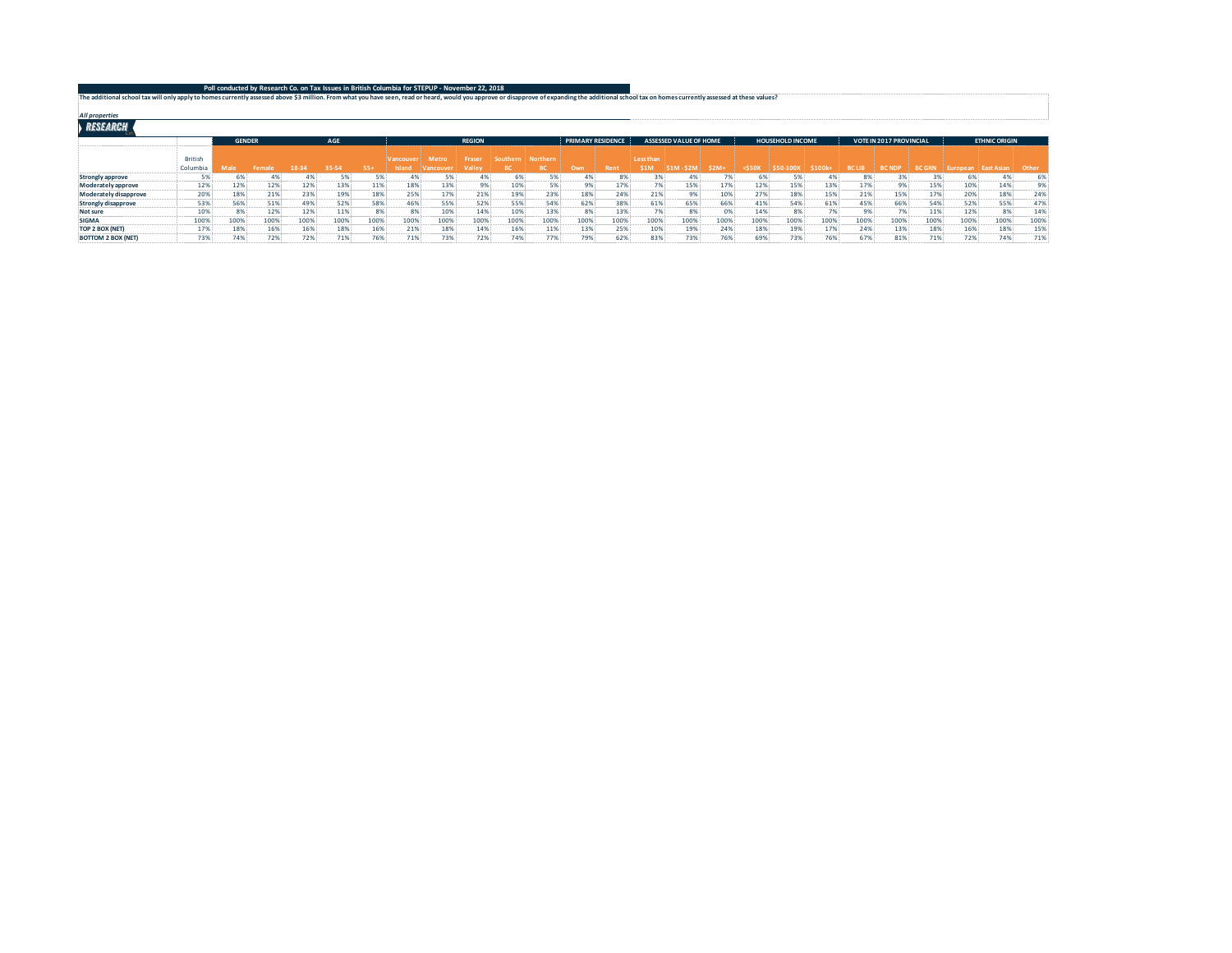| The additional school tax will only apply to homes currently assessed above \$3 million. From what you have seen, read or heard, would you approve or disapprove of expanding the additional school tax on homes currently asse |  |
|---------------------------------------------------------------------------------------------------------------------------------------------------------------------------------------------------------------------------------|--|
| <b>All properties</b>                                                                                                                                                                                                           |  |
| <b>RESEARCH</b>                                                                                                                                                                                                                 |  |

|                           |                | AGE<br><b>GENDER</b> |      |      |       |       | <b>REGION</b> |                |        | <b>PRIMARY RESIDENCE</b> |          |      | <b>ASSESSED VALUE OF HOME</b> |           |      | <b>HOUSEHOLD INCOME</b> |                  |      | <b>VOTE IN 2017 PROVINCIAL</b> |               |               | <b>ETHNIC ORIGIN</b> |               |        |       |
|---------------------------|----------------|----------------------|------|------|-------|-------|---------------|----------------|--------|--------------------------|----------|------|-------------------------------|-----------|------|-------------------------|------------------|------|--------------------------------|---------------|---------------|----------------------|---------------|--------|-------|
|                           | <b>British</b> |                      |      |      |       |       | /ancouve      | Metro          | Frase  | Southern                 | Northern |      |                               | Less than |      |                         |                  |      |                                |               |               |                      |               |        |       |
|                           | Columbia       |                      |      |      | 35-54 | $55+$ |               | <b>Sancome</b> | Valley |                          |          | Own  | Rent                          | \$1M      |      | \$2M                    | S50 <sub>k</sub> |      | \$100k                         | <b>BC LIB</b> | <b>BC NDF</b> | <b>BC GRI</b>        | <b>uropea</b> | act Ac | Other |
| Strongly approve          |                | 6%                   |      |      | 5%    |       |               |                |        | 6%                       |          |      | 3%                            |           |      |                         |                  | : %ة |                                |               |               |                      |               |        | 6%    |
| Moderately approve        | 12%            | 12%                  | 12%  | 12%  | 13%   | 11%   | 18%           | 13%            | 9%     | 10%                      |          | 9%   | 17%                           |           | 15%  | 17%                     | 12%              | 15%  | 13%                            | 17%           | 9%            | 15%                  | 10%           | 14%    | 9%    |
| Moderately disapprove     | 20%            | 18%                  | 21%  | 23%  | 19%   | 18%   | 25%           | 17%            | 21%    | 19%                      | 23%      | 18%  | 24%                           | 21%       | 9%   | 10%                     | 27%              | 18%  | 15%                            | 21%           | 15%           | 17%                  | 20%           | 18%    | 24%   |
| Strongly disapprove       | 53%            | 56%                  | 51%  | 49%  | 52%   | 58%   | 46%           | 55%            | 52%    | 55%                      | 54%      | 62%  | 38%                           | 61%       | 65%  | 66%                     | 41%              | 54%  | 61%                            | 45%           | 66%           | 54%                  | 52%           | 55%    | 47%   |
| Not sure                  | 10%            | 8%                   | 12%  | 12%  | 11%   |       |               | 10%            | 14%    | 10%                      | 13%      | 8%   | 13%                           |           |      | 0%                      | 14%              |      |                                |               | 7%            | 11%                  | 12%           | 9%     | 14%   |
| <b>SIGMA</b>              | 100%           | 100%                 | 100% | 100% | 100%  | 100%  | 100%          | 100%           | 100%   | 100%                     | 100%     | 100% | 100%                          | 100%      | 100% | 100%                    | 100%             | 100% | 100%                           | 100%          | 100%          | 100%                 | 100%          | 100%   | 100%  |
| TOP 2 BOX (NET)           | 17%            | 18%                  | 16%  | 16%  | 18%   | 16%   | 21%           | 18%            | 14%    | 16%                      | 11%      | 13%  | 25%                           | 10%       | 19%  | 24%                     | 18%              | 19%  | 17%                            | 24%           | 13%           | 18%                  | 16%           | 18%    | 15%   |
| <b>BOTTOM 2 BOX (NET)</b> | 73%            | 74%                  | 72%  | 72%  | 71%   | 76%   | 71%           | 73%            | 72%    | 74%                      | 77%      | 79%  | 62%                           | 83%       | 73%  | 76%                     | 69%              | 73%  | 76%                            | 67%           | 81%           | 71%                  | 72%           | 74%    | 71%   |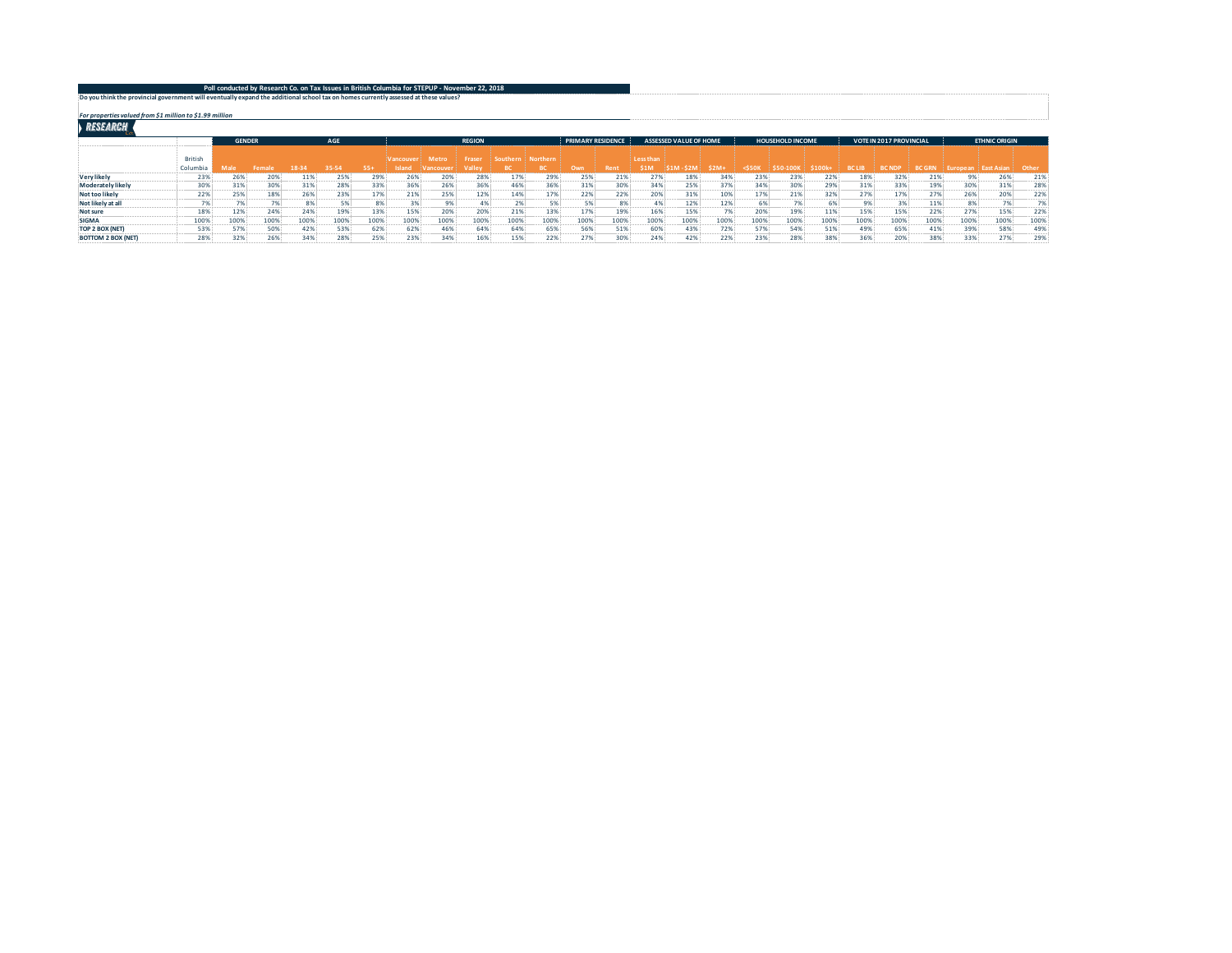| Poll conducted by Research Co. on Tax Issues in British Columbia for STEPUP - November 22, 2018                                      |  |
|--------------------------------------------------------------------------------------------------------------------------------------|--|
|                                                                                                                                      |  |
| Do you think the provincial government will eventually expand the additional school tax on homes currently assessed at these values? |  |

*For properties valued from \$1 million to \$1.99 million*

|                           |                | <b>GENDER</b>   |        |        | AGE   |       |                      |              | <b>REGION</b> |          |          | <b>PRIMARY RESIDENCE</b> |             |           | <b>ASSESSED VALUE OF HOME</b> |       |             | <b>HOUSEHOLD INCOME</b> |        |               | <b>VOTE IN 2017 PROVINCIAL</b> |               |            | <b>ETHNIC ORIGIN</b> |      |
|---------------------------|----------------|-----------------|--------|--------|-------|-------|----------------------|--------------|---------------|----------|----------|--------------------------|-------------|-----------|-------------------------------|-------|-------------|-------------------------|--------|---------------|--------------------------------|---------------|------------|----------------------|------|
|                           | <b>British</b> |                 |        |        |       |       | /ancouve             | <b>Metro</b> | Fraser        | Southern | Northern |                          |             | Less than |                               |       |             |                         |        |               |                                |               |            |                      |      |
|                           | Columbia       |                 | Fomalı | $18-3$ | 35-54 | $55+$ | <sup>1</sup> sland - | ancou        | /alle         |          |          | <b>Own</b>               | <b>Rent</b> | \$1M      |                               | \$2M- | $<$ 550 $<$ |                         | \$100k | <b>BC LIB</b> | <b>BC NDF</b>                  | <b>BC GRN</b> | -drope and |                      | Othe |
| <b>Very likely</b>        | 23%            | 26%             | 20%    | 119    | 25%   | 29%   | 26%                  | 20%          | 28%           | 17%      | 29%      | 25%                      | 21%         | 27%       | 18%                           | 34%   | 239         | 23%                     | 22%    | 189           | 32%                            | 21%           |            | 26%                  | 21%  |
| Moderately likely         | 30%            | 31%             | 30%    | 31%    | 28%   | 33%   | 36%                  | 26%          | 36%           | 46%      | 36%      | 31%                      | 30%         | 34%       | 25%                           | 37%   | 34%         | 30%                     | 29%    | 31%           | 33%                            | 19%           | 30%        | 31%                  | 28%  |
| Not too likely            | 22%            | 25%             | 18%    | 26%    | 23%   | 17%   | 21%                  | 25%          | 12%           | 14%      | 17%      | 22%                      | 22%         | 20%       | 31%                           | 10%   | 17%         | 21%                     | 32%    | 27%           | 17%                            | 27%           | 26%        | 20%                  | 22%  |
| Not likely at all         |                | 70 <sub>6</sub> |        | 8%     | 5%    |       |                      | 9%           |               |          |          |                          | 8%          |           | 12%                           | 12%   | r os        | 7%                      |        |               |                                | 11%           |            | 7%                   | 7%   |
| Not sure                  | 18%            | 12%             | 24%    | 24%    | 19%   | 13%   | 15%                  | 20%          | 20%           | 21%      | 13%      | 17%                      | 19%         | 16%       | 15%                           |       | 20%         | 19%                     | 11%    | 15%           | 15%                            | 22%           | 279        | 15%                  | 22%  |
| <b>SIGMA</b>              | 100%           | 100%            | 100%   | 100%   | 100%  | 100%  | 100%                 | 100%         | 100%          | 100%     | 100%     | 100%                     | 100%        | 100%      | 100%                          | 100%  | 100%        | 100%                    | 100%   | 100%          | 100%                           | 100%          | 100%       | 100%                 | 100% |
| TOP 2 BOX (NET)           | 53%            | 57%             | 50%    | 42%    | 53%   | 62%   | 62%                  | 46%          | 64%           | 64%      | 65%      | 56%                      | 51%         | 60%       | 43%                           | 72%   | 57%         | 54%                     | 51%    | 49%           | 65%                            | 41%           | 39%        | 58%                  | 49%  |
| <b>BOTTOM 2 BOX (NET)</b> | 28%            | 32%             | 26%    | 34%    | 28%   | 25%   | 23%                  | 34%          | 16%           | 15%      | 22%      | 27%                      | 30%         | 24%       | 42%                           | 22%   | 23%         | 28%                     | 38%    |               | 20%                            | 38%           | 33%        | 27%                  | 29%  |
|                           |                |                 |        |        |       |       |                      |              |               |          |          |                          |             |           |                               |       |             |                         |        |               |                                |               |            |                      |      |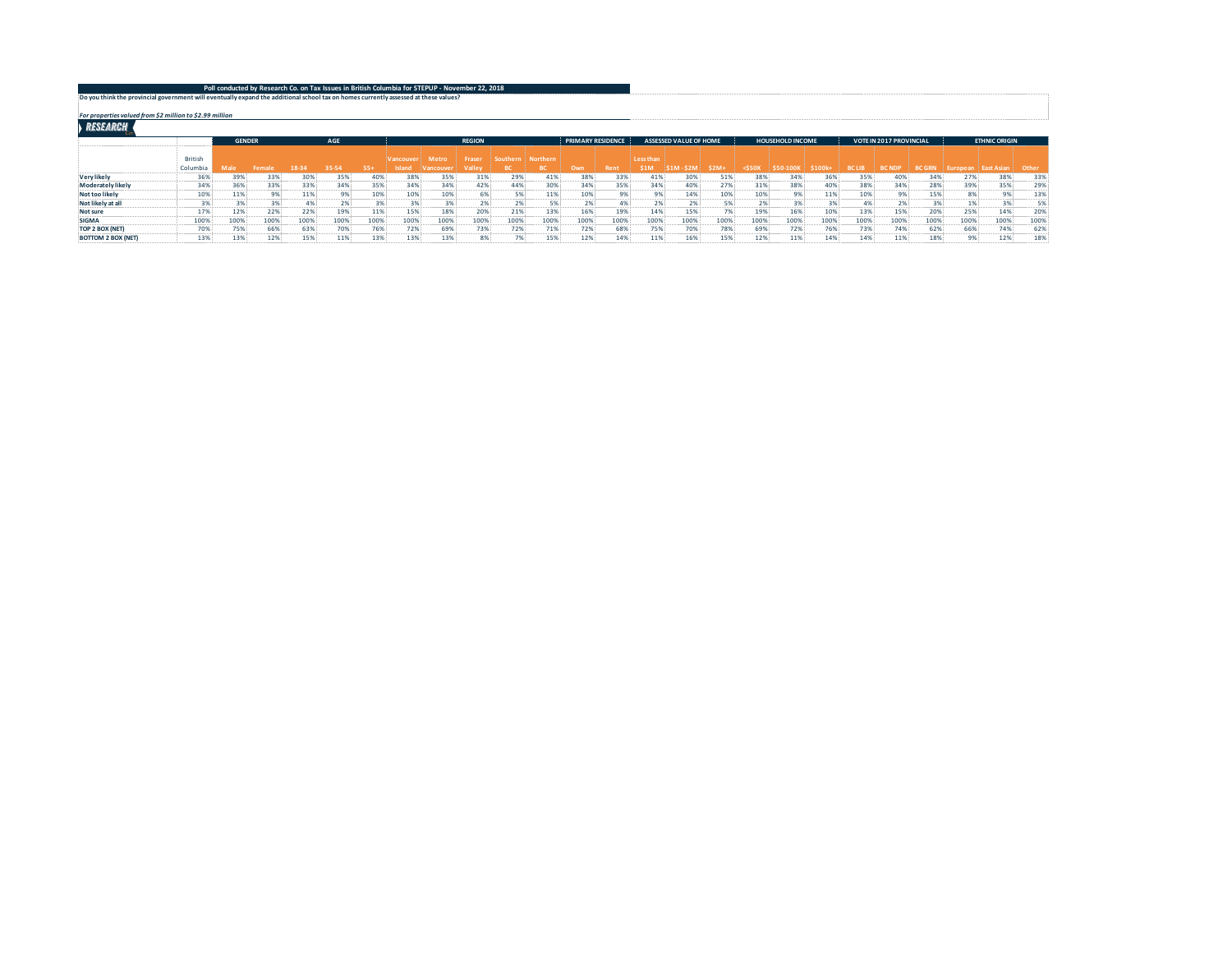| Poll conducted by Research Co. on Tax Issues in British Columbia for STEPUP - November 22, 2018                                      |  |
|--------------------------------------------------------------------------------------------------------------------------------------|--|
|                                                                                                                                      |  |
| Do you think the provincial government will eventually expand the additional school tax on homes currently assessed at these values? |  |

*For properties valued from \$2 million to \$2.99 million*

|                           |                | <b>GENDER</b> |        | AGE    |       | <b>REGION</b> |          |              |        |          | <b>PRIMARY RESIDENCE</b> |      | <b>ASSESSED VALUE OF HOME</b> |           |      | <b>HOUSEHOLD INCOME</b> |             |      | <b>VOTE IN 2017 PROVINCIAL</b> |               |               | <b>ETHNIC ORIGIN</b> |                 |      |      |
|---------------------------|----------------|---------------|--------|--------|-------|---------------|----------|--------------|--------|----------|--------------------------|------|-------------------------------|-----------|------|-------------------------|-------------|------|--------------------------------|---------------|---------------|----------------------|-----------------|------|------|
|                           | <b>British</b> |               |        |        |       |               | /ancouve | <b>Metro</b> | Fraser | Southern | Northern                 |      |                               | Less than |      |                         |             |      |                                |               |               |                      |                 |      |      |
|                           | Columbia       |               | Fomalı | $18-3$ | 35-54 | $55+$         | Island   | - eincours   | /alle  |          |                          | Owr  | <b>Rent</b>                   | \$1M      |      | \$2M-                   | $<$ 550 $<$ |      | \$100k                         | <b>BC LIB</b> | <b>BC NDF</b> | <b>BC GRI</b>        | <b>Auropean</b> |      | Othe |
| <b>Very likely</b>        | 36%            | 39%           | 33%    | 309    | 35%   | 40%           | 38%      | 35%          | 31%    | 29%      | 41%                      | 38%  | 33%                           | 41%       | 30%  | 51%                     | 389         | 34%  | 36%                            | 35%           | 40%           | 34%                  | 27%             | 38%  | 33%  |
| Moderately likely         | 34%            | 36%           | 33%    | 33%    | 34%   | 35%           | 34%      | 34%          | 42%    | 44%      | 30%                      | 34%  | 35%                           | 34%       | 40%  | 27%                     | 31%         | 38%  | 40%                            | 38%           | 34%           | 28%                  | 39%             | 35%  | 29%  |
| Not too likely            | 10%            | 11%           |        | 11%    | 9%    | 10%           | 109      | 10%          |        |          | 11%                      | 10%  | 9%                            |           | 14%  | 10%                     | 10%         | 9%   | 11%                            |               | 9%.           | 15%                  |                 | 9%   | 13%  |
| Not likely at all         |                | 3%            |        |        | 2%1   | 20.01         |          | 3%           |        |          | 5%                       |      | 4%                            |           | 2%   |                         |             | 3%   | 20                             |               |               | 2%                   |                 | 3%   | 5%   |
| Not sure                  | 17%            | 12%           | 22%    | 22%    | 19%   | 11%           | 15%      | 18%          | 20%    | 21%      | 13%                      | 16%  | 19%                           | 14%       | 15%  |                         | 199         | 16%  | 10%                            | 13%           | 15%           | 20%                  | 25%             | 14%  | 20%  |
| <b>SIGMA</b>              | 100%           | 100%          | 100%   | 100%   | 100%  | 100%          | 100%     | 100%         | 100%   | 100%     | 100%                     | 100% | 100%                          | 100%      | 100% | 100%                    | 100%        | 100% | 100%                           | 100%          | 100%          | 100%                 | 100%            | 100% | 100% |
| TOP 2 BOX (NET)           | 70%            | 75%           | 66%    | 63%    | 70%   | 76%           | 72%      | 69%          | 73%    | 72%      | 71%                      | 72%  | 68%                           | 75%       | 70%  | 78%                     | 69%         | 72%  | 76%                            | 73%           | 74%           | 62%                  | 66%             | 74%  | 62%  |
| <b>BOTTOM 2 BOX (NET)</b> | 13%            | 13%           | 12%    | 15%    | 11%   | 13%           | 13%      | 13%          |        |          | 15%                      | 12%  | 14%                           | 11%       | 16%  | 15%                     | 12%         | 11%  | 14%                            |               | 11%           | 18%                  |                 | 12%  | 18%  |
|                           |                |               |        |        |       |               |          |              |        |          |                          |      |                               |           |      |                         |             |      |                                |               |               |                      |                 |      |      |